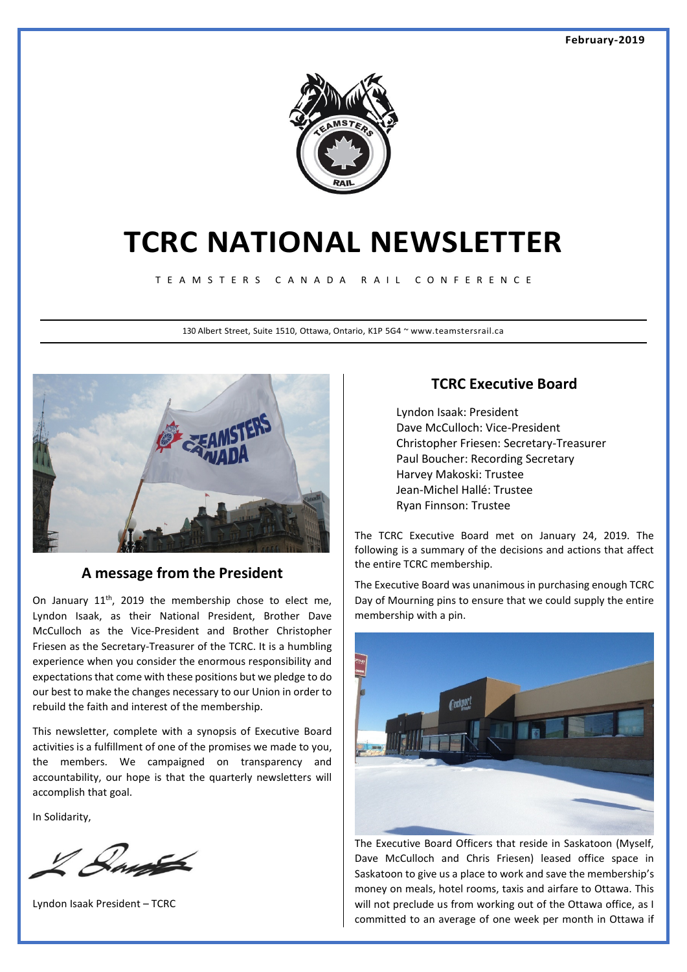

# **TCRC NATIONAL NEWSLETTER**

T E A M S T E R S C A N A D A R A I L C O N F E R E N C E

130 Albert Street, Suite 1510, Ottawa, Ontario, K1P 5G4 ~ www.teamstersrail.ca



## **A message from the President**

On January  $11<sup>th</sup>$ , 2019 the membership chose to elect me, Lyndon Isaak, as their National President, Brother Dave McCulloch as the Vice-President and Brother Christopher Friesen as the Secretary-Treasurer of the TCRC. It is a humbling experience when you consider the enormous responsibility and expectations that come with these positions but we pledge to do our best to make the changes necessary to our Union in order to rebuild the faith and interest of the membership.

This newsletter, complete with a synopsis of Executive Board activities is a fulfillment of one of the promises we made to you, the members. We campaigned on transparency and accountability, our hope is that the quarterly newsletters will accomplish that goal.

In Solidarity,

Laute

Lyndon Isaak President – TCRC

## **TCRC Executive Board**

Lyndon Isaak: President Dave McCulloch: Vice-President Christopher Friesen: Secretary-Treasurer Paul Boucher: Recording Secretary Harvey Makoski: Trustee Jean-Michel Hallé: Trustee Ryan Finnson: Trustee

The TCRC Executive Board met on January 24, 2019. The following is a summary of the decisions and actions that affect the entire TCRC membership.

The Executive Board was unanimous in purchasing enough TCRC Day of Mourning pins to ensure that we could supply the entire membership with a pin.



The Executive Board Officers that reside in Saskatoon (Myself, Dave McCulloch and Chris Friesen) leased office space in Saskatoon to give us a place to work and save the membership's money on meals, hotel rooms, taxis and airfare to Ottawa. This will not preclude us from working out of the Ottawa office, as I committed to an average of one week per month in Ottawa if